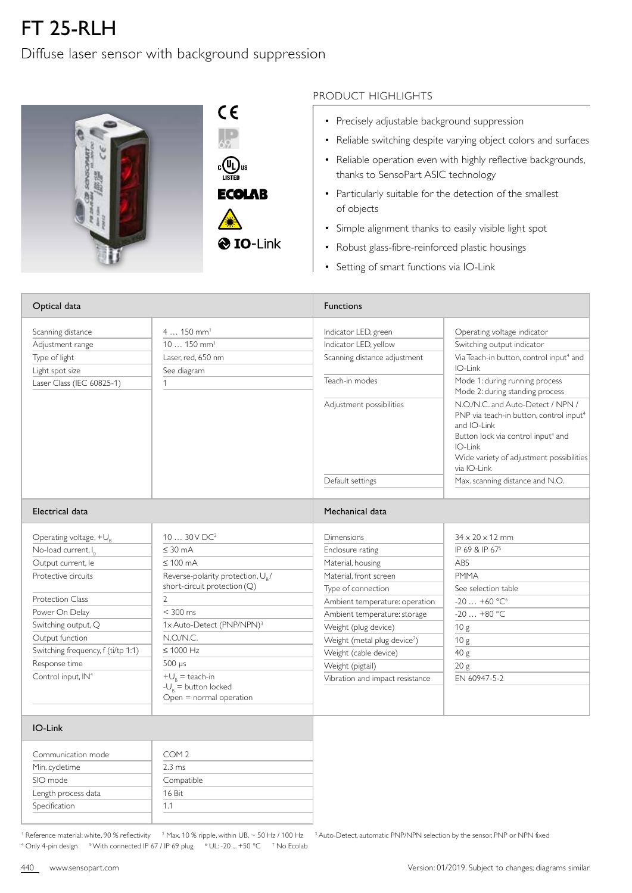## FT 25-RLH

Diffuse laser sensor with background suppression



## PRODUCT HIGHLIGHTS

- Precisely adjustable background suppression
- Reliable switching despite varying object colors and surfaces
- Reliable operation even with highly reflective backgrounds, thanks to SensoPart ASIC technology
- Particularly suitable for the detection of the smallest of objects
- Simple alignment thanks to easily visible light spot
- Robust glass-fibre-reinforced plastic housings
- Setting of smart functions via IO-Link

| Optical data                       |                                                                              | <b>Functions</b>                         |                                                                                                                                                                                                                                 |  |
|------------------------------------|------------------------------------------------------------------------------|------------------------------------------|---------------------------------------------------------------------------------------------------------------------------------------------------------------------------------------------------------------------------------|--|
| Scanning distance                  | $4150$ mm <sup>1</sup>                                                       | Indicator LED, green                     | Operating voltage indicator                                                                                                                                                                                                     |  |
| Adjustment range                   | $10150$ mm <sup>1</sup>                                                      | Indicator LED, yellow                    | Switching output indicator                                                                                                                                                                                                      |  |
| Type of light                      | Laser, red. 650 nm                                                           | Scanning distance adjustment             | Via Teach-in button, control input <sup>4</sup> and                                                                                                                                                                             |  |
| Light spot size                    | See diagram                                                                  |                                          | IO-Link                                                                                                                                                                                                                         |  |
| Laser Class (IEC 60825-1)          | $\mathbf{1}$                                                                 | Teach-in modes                           | Mode 1: during running process<br>Mode 2: during standing process                                                                                                                                                               |  |
|                                    |                                                                              | Adjustment possibilities                 | N.O./N.C. and Auto-Detect / NPN /<br>PNP via teach-in button, control input <sup>4</sup><br>and IO-Link<br>Button lock via control input <sup>4</sup> and<br>IO-Link<br>Wide variety of adjustment possibilities<br>via IO-Link |  |
|                                    |                                                                              | Default settings                         | Max. scanning distance and N.O.                                                                                                                                                                                                 |  |
| Electrical data                    |                                                                              | Mechanical data                          |                                                                                                                                                                                                                                 |  |
| Operating voltage, $+U_{R}$        | $1030V$ DC <sup>2</sup>                                                      | <b>Dimensions</b>                        | $34 \times 20 \times 12$ mm                                                                                                                                                                                                     |  |
| No-load current, I <sub>0</sub>    | $\leq 30$ mA                                                                 | Enclosure rating                         | IP 69 & IP 67 <sup>5</sup>                                                                                                                                                                                                      |  |
| Output current, le                 | $\leq 100$ mA                                                                | Material, housing                        | <b>ABS</b>                                                                                                                                                                                                                      |  |
| Protective circuits                | Reverse-polarity protection, U <sub>p</sub> /                                | Material, front screen                   | <b>PMMA</b>                                                                                                                                                                                                                     |  |
|                                    | short-circuit protection (Q)                                                 | Type of connection                       | See selection table                                                                                                                                                                                                             |  |
| <b>Protection Class</b>            | $\mathbf{2}$                                                                 | Ambient temperature: operation           | $-20+60$ °C <sup>6</sup>                                                                                                                                                                                                        |  |
| Power On Delay                     | $<$ 300 ms                                                                   | Ambient temperature: storage             | $-20+80$ °C                                                                                                                                                                                                                     |  |
| Switching output, Q                | 1x Auto-Detect (PNP/NPN) <sup>3</sup>                                        | Weight (plug device)                     | 10 <sub>g</sub>                                                                                                                                                                                                                 |  |
| Output function                    | N.O/N.C.                                                                     | Weight (metal plug device <sup>7</sup> ) | 10 <sub>g</sub>                                                                                                                                                                                                                 |  |
| Switching frequency, f (ti/tp 1:1) | $\leq 1000$ Hz                                                               | Weight (cable device)                    | 40 g                                                                                                                                                                                                                            |  |
| Response time                      | $500 \mu s$                                                                  | Weight (pigtail)                         | 20 <sub>g</sub>                                                                                                                                                                                                                 |  |
| Control input, IN <sup>4</sup>     | $+U_{p}$ = teach-in<br>$-U_{R}$ = button locked<br>$Open = normal operation$ | Vibration and impact resistance          | EN 60947-5-2                                                                                                                                                                                                                    |  |
| IO-Link                            |                                                                              |                                          |                                                                                                                                                                                                                                 |  |
| Communication mode                 | COM <sub>2</sub>                                                             |                                          |                                                                                                                                                                                                                                 |  |
| Min. cycletime                     | $2.3 \text{ ms}$                                                             |                                          |                                                                                                                                                                                                                                 |  |
| SIO mode                           | Compatible                                                                   |                                          |                                                                                                                                                                                                                                 |  |
| Length process data                | 16 Bit                                                                       |                                          |                                                                                                                                                                                                                                 |  |
| Specification                      | 1.1                                                                          |                                          |                                                                                                                                                                                                                                 |  |

<sup>1</sup> Reference material: white, 90 % reflectivity <sup>2</sup> Max. 10 % ripple, within UB, ~ 50 Hz / 100 Hz <sup>3</sup> Auto-Detect, automatic PNP/NPN selection by the sensor, PNP or NPN fixed <sup>4</sup> Only 4-pin design <sup>5</sup> With connected IP 67 / IP 69 plug 6 UL: -20 ... +50 °C 7 No Ecolab